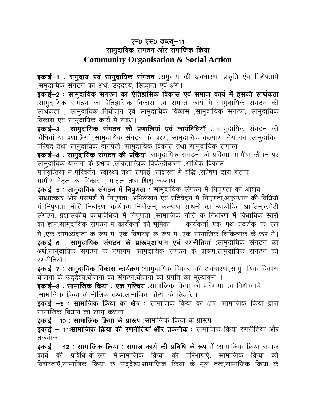## एम0 एस0 डब्ल्यू-11 सामुदायिक संगठन और समाजिक क्रिया **Community Organisation & Social Action**

**इकाई–1 : समुदाय एवं सामुदायिक संगठन** :समुदाय की अवधारणा प्रकृति एंव विशेषतायें ,समुदायिक संगठन का अर्थ, उददेश्य, सिद्धान्त एवं अंग।

इकाई—2 : सामुदायिक संगठन का ऐतिहासिक विकास एवं समाज कार्य में इसकी सार्थकता :सामुदायिक संगठन का ऐतिहासिक विकास एवं समाज कार्य में सामुदायिक संगठन की सार्थकता , सामुदायिक नियोजन एवं सामुदायिक विकास ,सामुदायिक संगठन, सामुदायिक विकास एवं सामुदायिक कार्य में संबंध।

इकाई-3 : सामुदायिक संगठन की प्रणालियां एवं कार्यविधियॉ : सामुदायिक संगठन की विधियॉं या प्रणालियों ,सामुदायिक संगठन के चरण, सामुदायिक कल्याण नियोजन ,सामुदायिक परिषद तथा सामुदायिक दानपेटी ,सामुदायिक विकास तथा सामुदायिक संगठन ।

**इकाई–4 : सामुदायिक संगठन की प्रकिया** :सामुदायिक संगठन की प्रक्रिया ,ग्रामीण जीवन पर सामुदायिक योजना के प्रभाव ,लोकतान्त्रिक विकेन्द्रीकरण ,आर्थिक विकास

मनोवृत्तियों में परिवर्तन ,स्वास्थ्य तथा सफाई ,साक्षरता में वृद्धि ,संप्रेषण द्वारा चेतना ग्रामीण नेतृत्व का विकास , मातृत्व तथा शिशु कल्याण ।

इकाई-5 : सामुदायिक संगठन में निपुणता : सामुदायिक संगठन में निपुणता का आशय ,साक्षात्कार और परामर्श में निपुणता ,अभिलेखन एवं प्रतिवेदन में निपुणता,अनुसंधान की विधियों में निपुणता ,नीति निर्धारण, कार्यक्रम नियोजन, कल्याण साधनों का न्यायोचित आवंटन,कमेटी संगठन, प्रशासकीय कार्यविधियों में निपुणता ,सामाजिक नीति के निर्धारण में विधायिक स्तरों का ज्ञान,सामुदायिक संगठन में कार्यकर्तो की भूमिका, कार्यकर्ता एक पथ प्रदर्शक के रूप में ,एक सामर्थ्यदाता के रूप में ,एक विशेषज्ञ के रूप में ,एक सामाजिक चिकित्सक के रूप में। इकाई–6 : सामुदायिक संगठन के प्रारूप,आयाम एवं रणनीतियां :सामुदायिक संगठन का अर्थ,सामुदायिक संगठन के उपागम ,सामुदायिक संगठन के प्रारूप,सामुदायिक संगठन की रणनीतियॉ ।

**इकाई–7 : सामुदायिक विकास कार्यक्रम** :सामुदायिक विकास की अवधारणा,सामुदायिक विकास योजना के उददेश्य,योजना का संगठन,योजना की प्रगति का मूल्यांकन ।

 $\frac{1}{5}$ काई—8 : सामाजिक क्रिया : एक परिचय :सामाजिक क्रिया की परिभाषा एवं विशेषतायें .सामाजिक क्रिया के मौलिक तथ्य.सामाजिक क्रिया के सिद्धांत।

**इकाई –9 : सामाजिक क्रिया का क्षेत्र :** सामाजिक क्रिया का क्षेत्र ,सामाजिक क्रिया द्वारा सामाजिक विधान को लागू कराना।

 $\frac{1}{2}$ इकाई –10 : सामाजिक क्रिया के प्रारूप :सामाजिक क्रिया के प्रारूप।

इकाई – 11:सामाजिक क्रिया की रणनीतियां और तकनीक : सामाजिक क्रिया रणनीतियां और तकनीक ।

इकाई – 12 : सामाजिक क्रिया : समाज कार्य की प्रविधि के रूप में :सामाजिक क्रिया समाज कार्य की प्रविधि के रूप में,सामाजिक क्रिया की परिभाषाएँ, सामाजिक क्रिया की विशेषताएँ,सामाजिक क्रिया के उददेश्य,सामाजिक क्रिया के मूल तत्व,सामाजिक क्रिया के